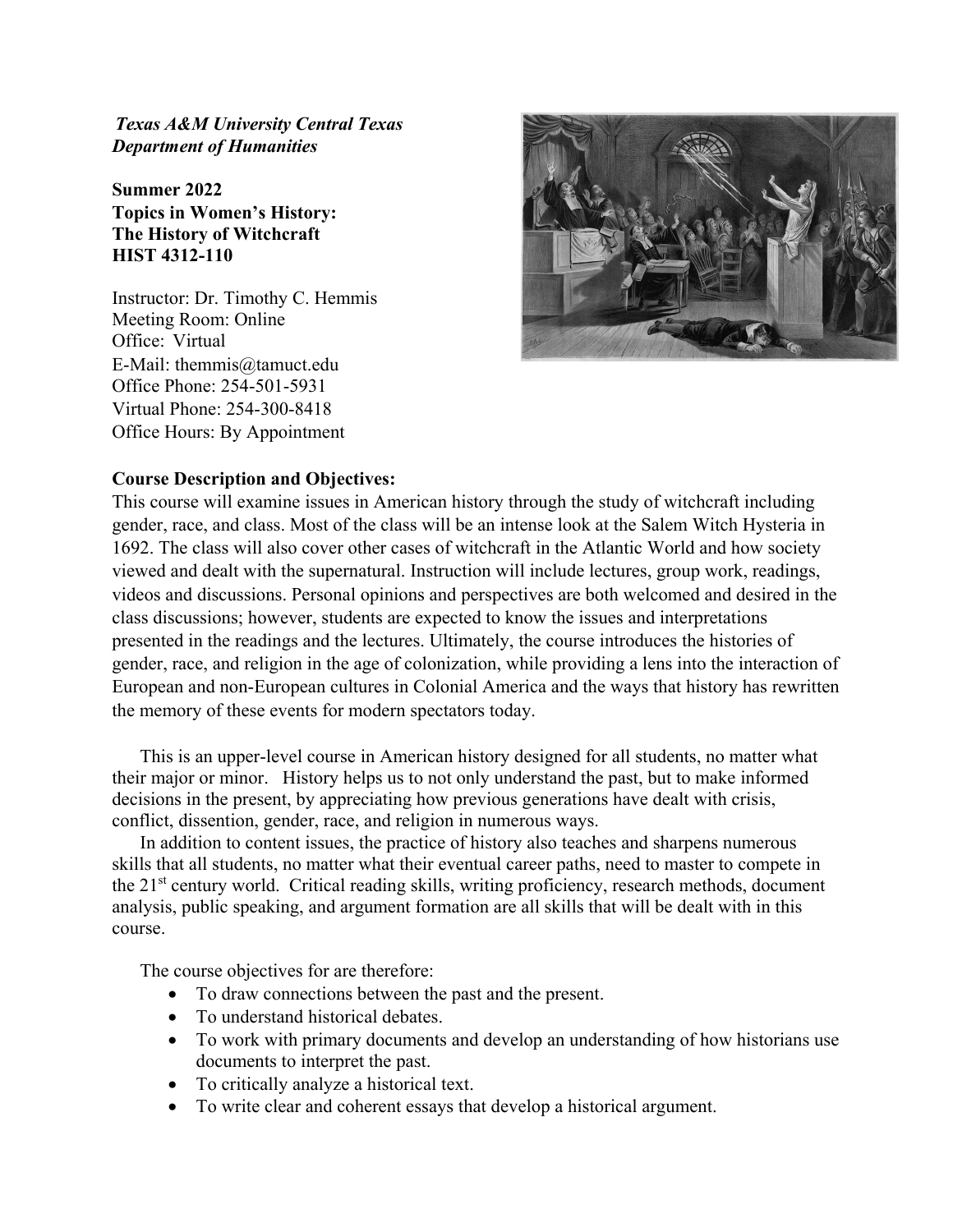*Texas A&M University Central Texas Department of Humanities* 

**Summer 2022 Topics in Women's History: The History of Witchcraft HIST 4312-110**

Instructor: Dr. Timothy C. Hemmis Meeting Room: Online Office: Virtual E-Mail: themmis@tamuct.edu Office Phone: 254-501-5931 Virtual Phone: 254-300-8418 Office Hours: By Appointment



# **Course Description and Objectives:**

This course will examine issues in American history through the study of witchcraft including gender, race, and class. Most of the class will be an intense look at the Salem Witch Hysteria in 1692. The class will also cover other cases of witchcraft in the Atlantic World and how society viewed and dealt with the supernatural. Instruction will include lectures, group work, readings, videos and discussions. Personal opinions and perspectives are both welcomed and desired in the class discussions; however, students are expected to know the issues and interpretations presented in the readings and the lectures. Ultimately, the course introduces the histories of gender, race, and religion in the age of colonization, while providing a lens into the interaction of European and non-European cultures in Colonial America and the ways that history has rewritten the memory of these events for modern spectators today.

This is an upper-level course in American history designed for all students, no matter what their major or minor. History helps us to not only understand the past, but to make informed decisions in the present, by appreciating how previous generations have dealt with crisis, conflict, dissention, gender, race, and religion in numerous ways.

In addition to content issues, the practice of history also teaches and sharpens numerous skills that all students, no matter what their eventual career paths, need to master to compete in the  $21<sup>st</sup>$  century world. Critical reading skills, writing proficiency, research methods, document analysis, public speaking, and argument formation are all skills that will be dealt with in this course.

The course objectives for are therefore:

- To draw connections between the past and the present.
- To understand historical debates.
- To work with primary documents and develop an understanding of how historians use documents to interpret the past.
- To critically analyze a historical text.
- To write clear and coherent essays that develop a historical argument.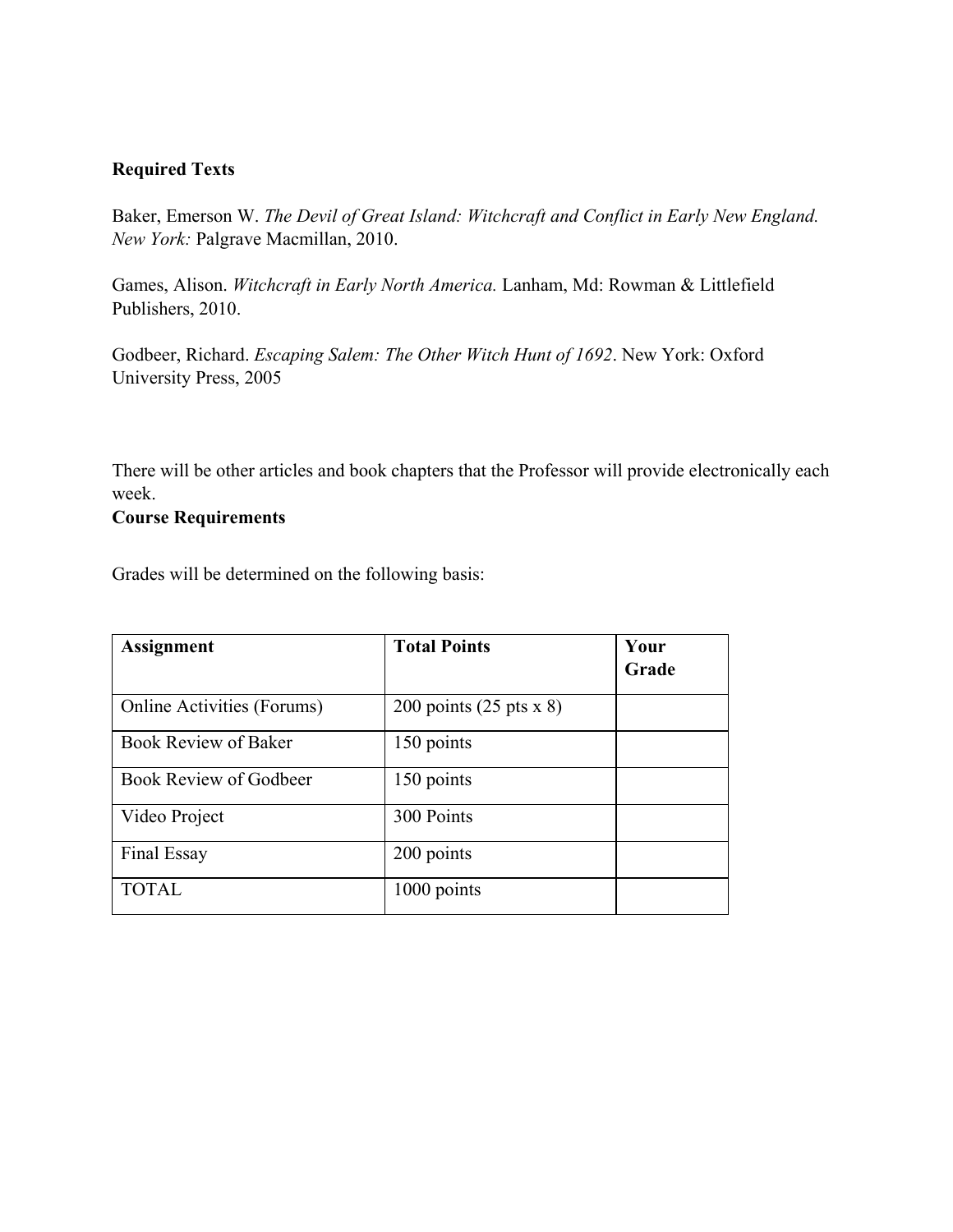# **Required Texts**

Baker, Emerson W. *The Devil of Great Island: Witchcraft and Conflict in Early New England. New York:* Palgrave Macmillan, 2010.

Games, Alison. *Witchcraft in Early North America.* Lanham, Md: Rowman & Littlefield Publishers, 2010.

Godbeer, Richard. *Escaping Salem: The Other Witch Hunt of 1692*. New York: Oxford University Press, 2005

There will be other articles and book chapters that the Professor will provide electronically each week.

# **Course Requirements**

Grades will be determined on the following basis:

| <b>Assignment</b>                 | <b>Total Points</b>                    | Your<br>Grade |
|-----------------------------------|----------------------------------------|---------------|
| <b>Online Activities (Forums)</b> | 200 points $(25 \text{ pts} \times 8)$ |               |
| <b>Book Review of Baker</b>       | 150 points                             |               |
| <b>Book Review of Godbeer</b>     | 150 points                             |               |
| Video Project                     | 300 Points                             |               |
| Final Essay                       | 200 points                             |               |
| <b>TOTAL</b>                      | 1000 points                            |               |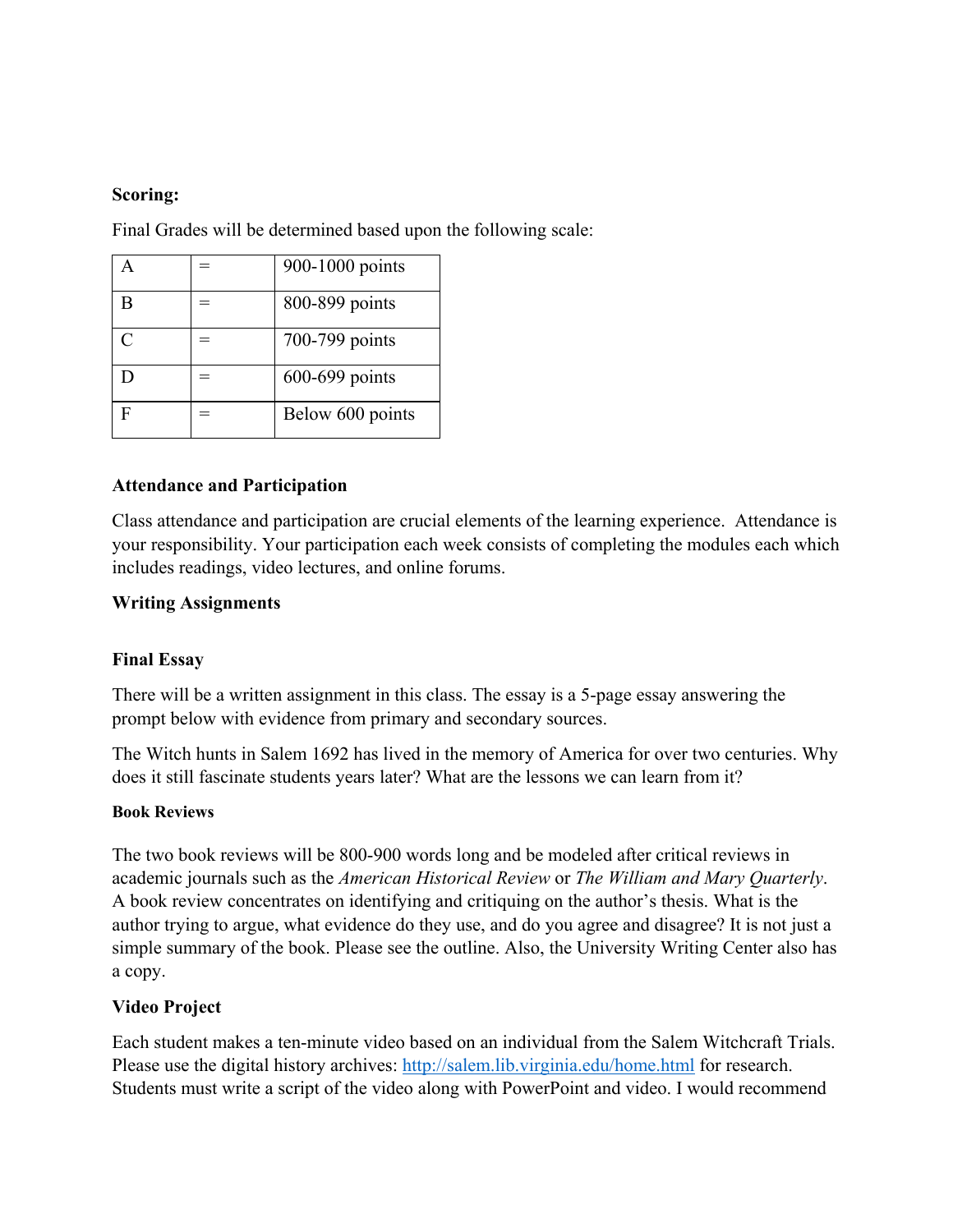# **Scoring:**

A  $=$  900-1000 points  $\vert B \vert = \vert 800 - 899 \vert$  points C  $=$   $| 700-799 \text{ points}$ D  $= 600-699 \text{ points}$  $F =$   $|\text{Below } 600 \text{ points}$ 

Final Grades will be determined based upon the following scale:

# **Attendance and Participation**

Class attendance and participation are crucial elements of the learning experience. Attendance is your responsibility. Your participation each week consists of completing the modules each which includes readings, video lectures, and online forums.

# **Writing Assignments**

## **Final Essay**

There will be a written assignment in this class. The essay is a 5-page essay answering the prompt below with evidence from primary and secondary sources.

The Witch hunts in Salem 1692 has lived in the memory of America for over two centuries. Why does it still fascinate students years later? What are the lessons we can learn from it?

## **Book Reviews**

The two book reviews will be 800-900 words long and be modeled after critical reviews in academic journals such as the *American Historical Review* or *The William and Mary Quarterly*. A book review concentrates on identifying and critiquing on the author's thesis. What is the author trying to argue, what evidence do they use, and do you agree and disagree? It is not just a simple summary of the book. Please see the outline. Also, the University Writing Center also has a copy.

## **Video Project**

Each student makes a ten-minute video based on an individual from the Salem Witchcraft Trials. Please use the digital history archives:<http://salem.lib.virginia.edu/home.html> for research. Students must write a script of the video along with PowerPoint and video. I would recommend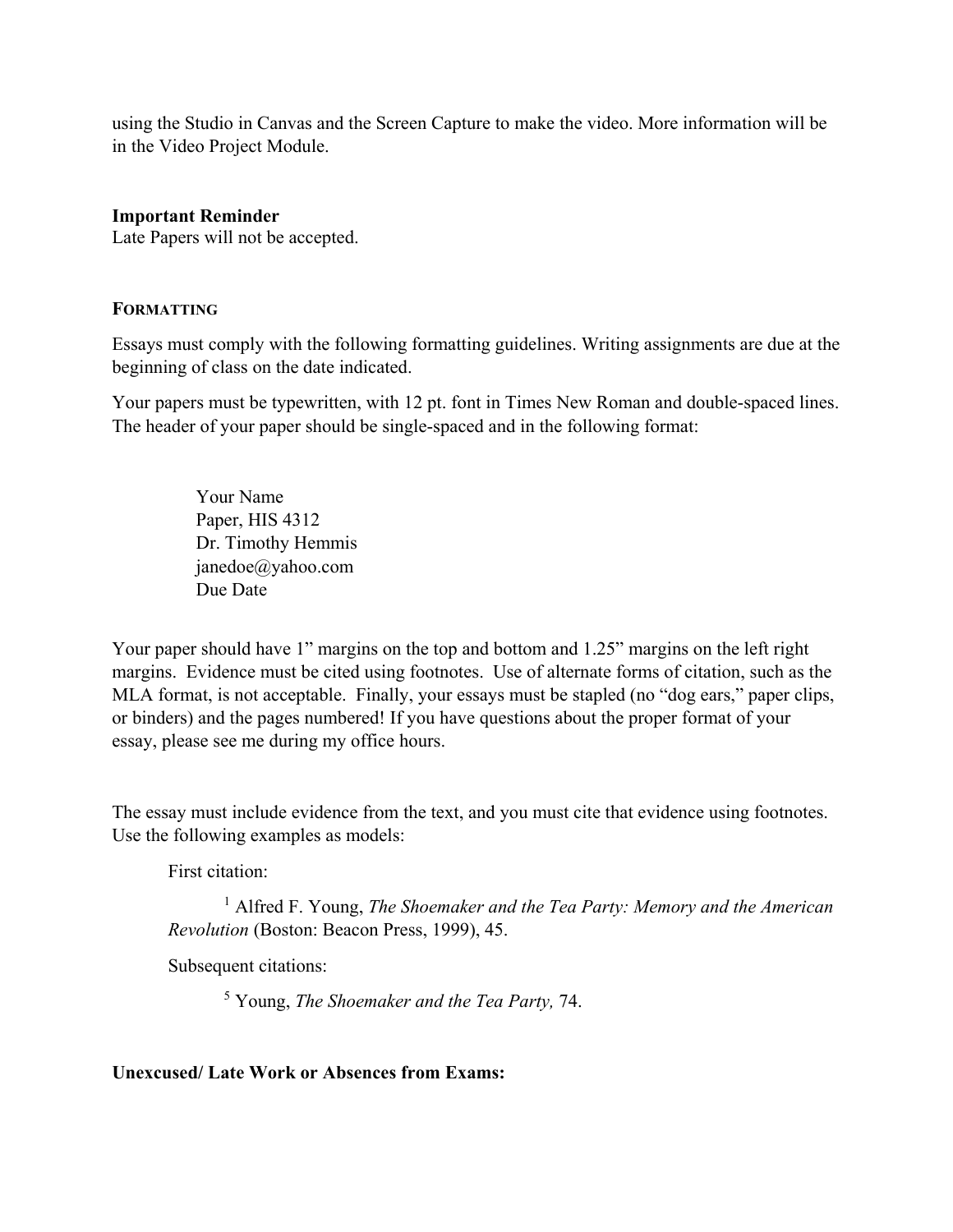using the Studio in Canvas and the Screen Capture to make the video. More information will be in the Video Project Module.

## **Important Reminder**

Late Papers will not be accepted.

## **FORMATTING**

Essays must comply with the following formatting guidelines. Writing assignments are due at the beginning of class on the date indicated.

Your papers must be typewritten, with 12 pt. font in Times New Roman and double-spaced lines. The header of your paper should be single-spaced and in the following format:

> Your Name Paper, HIS 4312 Dr. Timothy Hemmis janedoe@yahoo.com Due Date

Your paper should have 1" margins on the top and bottom and 1.25" margins on the left right margins. Evidence must be cited using footnotes. Use of alternate forms of citation, such as the MLA format, is not acceptable. Finally, your essays must be stapled (no "dog ears," paper clips, or binders) and the pages numbered! If you have questions about the proper format of your essay, please see me during my office hours.

The essay must include evidence from the text, and you must cite that evidence using footnotes. Use the following examples as models:

First citation:

<sup>1</sup> Alfred F. Young, *The Shoemaker and the Tea Party: Memory and the American Revolution* (Boston: Beacon Press, 1999), 45.

Subsequent citations:

<sup>5</sup> Young, *The Shoemaker and the Tea Party,* 74.

**Unexcused/ Late Work or Absences from Exams:**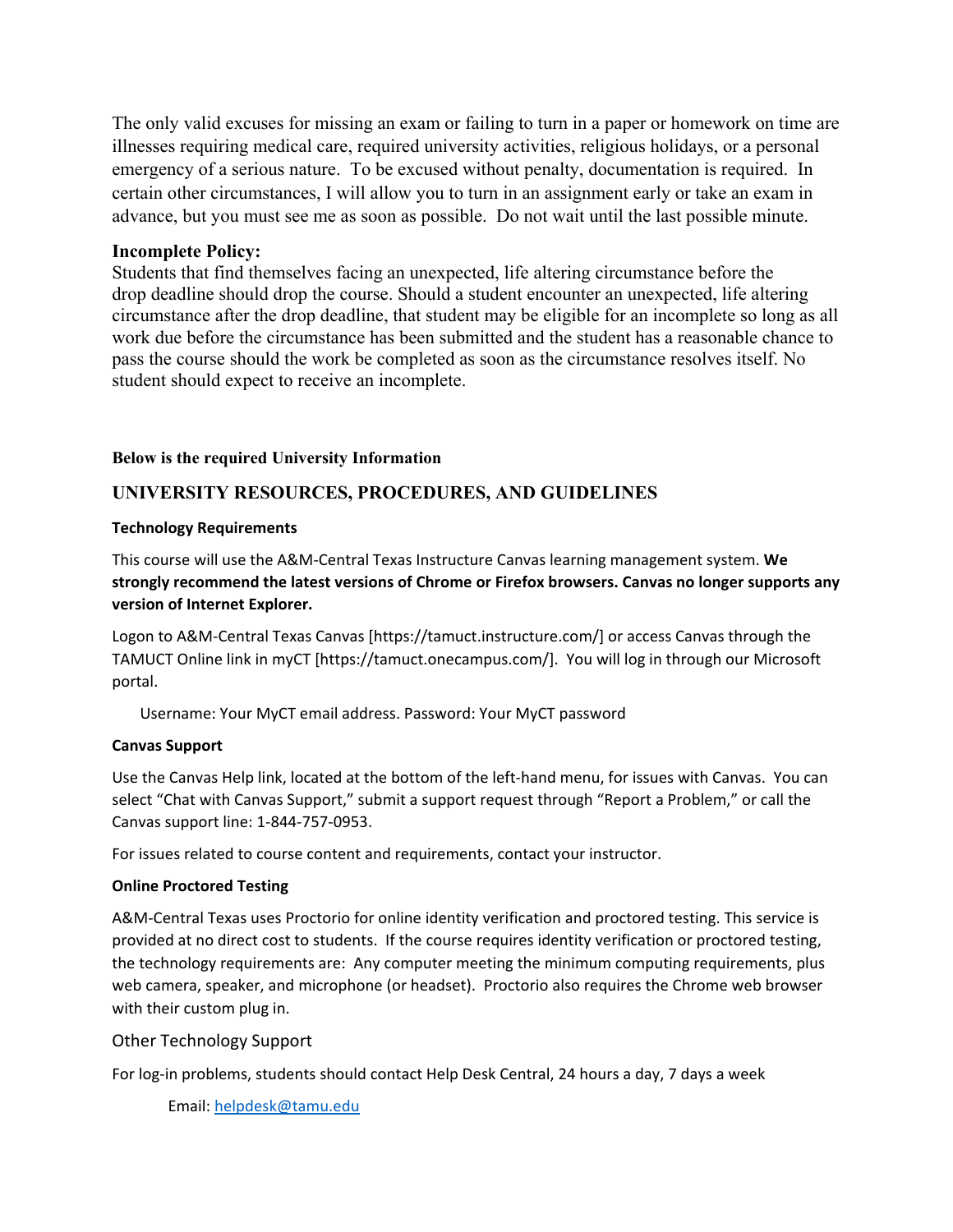The only valid excuses for missing an exam or failing to turn in a paper or homework on time are illnesses requiring medical care, required university activities, religious holidays, or a personal emergency of a serious nature. To be excused without penalty, documentation is required. In certain other circumstances, I will allow you to turn in an assignment early or take an exam in advance, but you must see me as soon as possible. Do not wait until the last possible minute.

### **Incomplete Policy:**

Students that find themselves facing an unexpected, life altering circumstance before the drop deadline should drop the course. Should a student encounter an unexpected, life altering circumstance after the drop deadline, that student may be eligible for an incomplete so long as all work due before the circumstance has been submitted and the student has a reasonable chance to pass the course should the work be completed as soon as the circumstance resolves itself. No student should expect to receive an incomplete.

#### **Below is the required University Information**

# **UNIVERSITY RESOURCES, PROCEDURES, AND GUIDELINES**

#### **Technology Requirements**

This course will use the A&M-Central Texas Instructure Canvas learning management system. **We strongly recommend the latest versions of Chrome or Firefox browsers. Canvas no longer supports any version of Internet Explorer.**

Logon to A&M-Central Texas Canvas [https://tamuct.instructure.com/] or access Canvas through the TAMUCT Online link in myCT [https://tamuct.onecampus.com/]. You will log in through our Microsoft portal.

Username: Your MyCT email address. Password: Your MyCT password

#### **Canvas Support**

Use the Canvas Help link, located at the bottom of the left-hand menu, for issues with Canvas. You can select "Chat with Canvas Support," submit a support request through "Report a Problem," or call the Canvas support line: 1-844-757-0953.

For issues related to course content and requirements, contact your instructor.

#### **Online Proctored Testing**

A&M-Central Texas uses Proctorio for online identity verification and proctored testing. This service is provided at no direct cost to students. If the course requires identity verification or proctored testing, the technology requirements are: Any computer meeting the minimum computing requirements, plus web camera, speaker, and microphone (or headset). Proctorio also requires the Chrome web browser with their custom plug in.

#### Other Technology Support

For log-in problems, students should contact Help Desk Central, 24 hours a day, 7 days a week

Email: [helpdesk@tamu.edu](mailto:helpdesk@tamu.edu)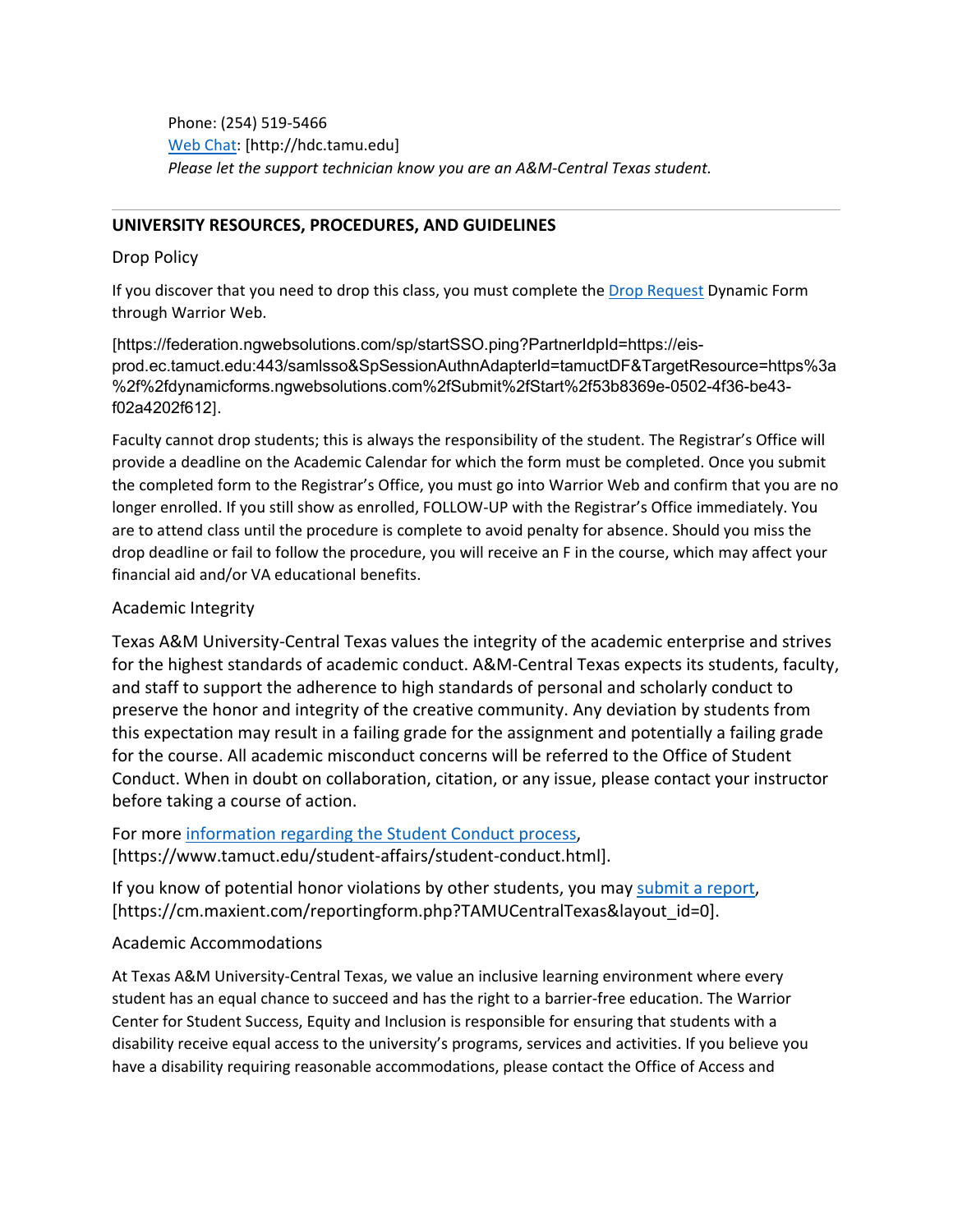Phone: (254) 519-5466 [Web Chat:](http://hdc.tamu.edu/) [http://hdc.tamu.edu] *Please let the support technician know you are an A&M-Central Texas student.*

#### **UNIVERSITY RESOURCES, PROCEDURES, AND GUIDELINES**

#### Drop Policy

If you discover that you need to drop this class, you must complete the [Drop Request](https://federation.ngwebsolutions.com/sp/startSSO.ping?PartnerIdpId=https://eis-prod.ec.tamuct.edu:443/samlsso&SpSessionAuthnAdapterId=tamuctDF&TargetResource=https%3a%2f%2fdynamicforms.ngwebsolutions.com%2fSubmit%2fStart%2f53b8369e-0502-4f36-be43-f02a4202f612) Dynamic Form through Warrior Web.

[https://federation.ngwebsolutions.com/sp/startSSO.ping?PartnerIdpId=https://eisprod.ec.tamuct.edu:443/samlsso&SpSessionAuthnAdapterId=tamuctDF&TargetResource=https%3a %2f%2fdynamicforms.ngwebsolutions.com%2fSubmit%2fStart%2f53b8369e-0502-4f36-be43 f02a4202f612].

Faculty cannot drop students; this is always the responsibility of the student. The Registrar's Office will provide a deadline on the Academic Calendar for which the form must be completed. Once you submit the completed form to the Registrar's Office, you must go into Warrior Web and confirm that you are no longer enrolled. If you still show as enrolled, FOLLOW-UP with the Registrar's Office immediately. You are to attend class until the procedure is complete to avoid penalty for absence. Should you miss the drop deadline or fail to follow the procedure, you will receive an F in the course, which may affect your financial aid and/or VA educational benefits.

#### Academic Integrity

Texas A&M University-Central Texas values the integrity of the academic enterprise and strives for the highest standards of academic conduct. A&M-Central Texas expects its students, faculty, and staff to support the adherence to high standards of personal and scholarly conduct to preserve the honor and integrity of the creative community. Any deviation by students from this expectation may result in a failing grade for the assignment and potentially a failing grade for the course. All academic misconduct concerns will be referred to the Office of Student Conduct. When in doubt on collaboration, citation, or any issue, please contact your instructor before taking a course of action.

## For more [information](https://nam04.safelinks.protection.outlook.com/?url=https%3A%2F%2Fwww.tamuct.edu%2Fstudent-affairs%2Fstudent-conduct.html&data=04%7C01%7Clisa.bunkowski%40tamuct.edu%7Ccfb6e486f24745f53e1a08d910055cb2%7C9eed4e3000f744849ff193ad8005acec%7C0%7C0%7C637558437485252160%7CUnknown%7CTWFpbGZsb3d8eyJWIjoiMC4wLjAwMDAiLCJQIjoiV2luMzIiLCJBTiI6Ik1haWwiLCJXVCI6Mn0%3D%7C1000&sdata=yjftDEVHvLX%2FhM%2FcFU0B99krV1RgEWR%2BJ%2BhvtoR6TYk%3D&reserved=0) regarding the Student Conduct process, [https://www.tamuct.edu/student-affairs/student-conduct.html].

If you know of potential honor violations by other students, you may [submit](https://nam04.safelinks.protection.outlook.com/?url=https%3A%2F%2Fcm.maxient.com%2Freportingform.php%3FTAMUCentralTexas%26layout_id%3D0&data=04%7C01%7Clisa.bunkowski%40tamuct.edu%7Ccfb6e486f24745f53e1a08d910055cb2%7C9eed4e3000f744849ff193ad8005acec%7C0%7C0%7C637558437485262157%7CUnknown%7CTWFpbGZsb3d8eyJWIjoiMC4wLjAwMDAiLCJQIjoiV2luMzIiLCJBTiI6Ik1haWwiLCJXVCI6Mn0%3D%7C1000&sdata=CXGkOa6uPDPX1IMZ87z3aZDq2n91xfHKu4MMS43Ejjk%3D&reserved=0) a report, [https://cm.maxient.com/reportingform.php?TAMUCentralTexas&layout\_id=0].

#### Academic Accommodations

At Texas A&M University-Central Texas, we value an inclusive learning environment where every student has an equal chance to succeed and has the right to a barrier-free education. The Warrior Center for Student Success, Equity and Inclusion is responsible for ensuring that students with a disability receive equal access to the university's programs, services and activities. If you believe you have a disability requiring reasonable accommodations, please contact the Office of Access and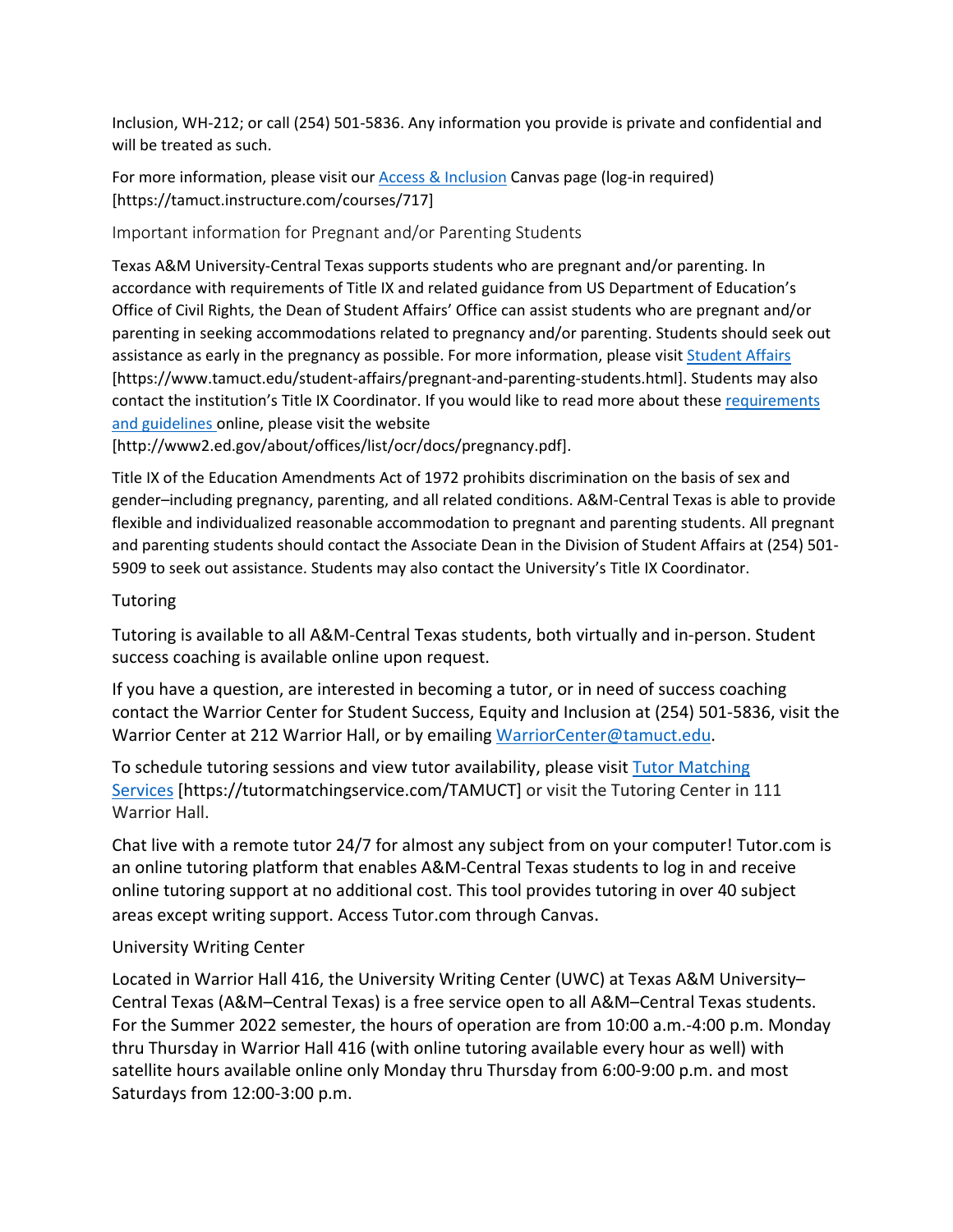Inclusion, WH-212; or call (254) 501-5836. Any information you provide is private and confidential and will be treated as such.

For more information, please visit our **Access & Inclusion Canvas page (log-in required)** [https://tamuct.instructure.com/courses/717]

Important information for Pregnant and/or Parenting Students

Texas A&M University-Central Texas supports students who are pregnant and/or parenting. In accordance with requirements of Title IX and related guidance from US Department of Education's Office of Civil Rights, the Dean of Student Affairs' Office can assist students who are pregnant and/or parenting in seeking accommodations related to pregnancy and/or parenting. Students should seek out assistance as early in the pregnancy as possible. For more information, please visi[t Student Affairs](https://www.tamuct.edu/student-affairs/pregnant-and-parenting-students.html) [https://www.tamuct.edu/student-affairs/pregnant-and-parenting-students.html]. Students may also contact the institution's Title IX Coordinator. If you would like to read more about these [requirements](http://www2.ed.gov/about/offices/list/ocr/docs/pregnancy.pdf)  [and guidelines](http://www2.ed.gov/about/offices/list/ocr/docs/pregnancy.pdf) online, please visit the website

[http://www2.ed.gov/about/offices/list/ocr/docs/pregnancy.pdf].

Title IX of the Education Amendments Act of 1972 prohibits discrimination on the basis of sex and gender–including pregnancy, parenting, and all related conditions. A&M-Central Texas is able to provide flexible and individualized reasonable accommodation to pregnant and parenting students. All pregnant and parenting students should contact the Associate Dean in the Division of Student Affairs at (254) 501- 5909 to seek out assistance. Students may also contact the University's Title IX Coordinator.

# **Tutoring**

Tutoring is available to all A&M-Central Texas students, both virtually and in-person. Student success coaching is available online upon request.

If you have a question, are interested in becoming a tutor, or in need of success coaching contact the Warrior Center for Student Success, Equity and Inclusion at (254) 501-5836, visit the Warrior Center at 212 Warrior Hall, or by emailing [WarriorCenter@tamuct.edu.](mailto:WarriorCenter@tamuct.edu)

To schedule tutoring sessions and view tutor availability, please visit Tutor [Matching](https://tutormatchingservice.com/TAMUCT) [Services](https://tutormatchingservice.com/TAMUCT) [https://tutormatchingservice.com/TAMUCT] or visit the Tutoring Center in 111 Warrior Hall.

Chat live with a remote tutor 24/7 for almost any subject from on your computer! Tutor.com is an online tutoring platform that enables A&M-Central Texas students to log in and receive online tutoring support at no additional cost. This tool provides tutoring in over 40 subject areas except writing support. Access Tutor.com through Canvas.

## University Writing Center

Located in Warrior Hall 416, the University Writing Center (UWC) at Texas A&M University– Central Texas (A&M–Central Texas) is a free service open to all A&M–Central Texas students. For the Summer 2022 semester, the hours of operation are from 10:00 a.m.-4:00 p.m. Monday thru Thursday in Warrior Hall 416 (with online tutoring available every hour as well) with satellite hours available online only Monday thru Thursday from 6:00-9:00 p.m. and most Saturdays from 12:00-3:00 p.m.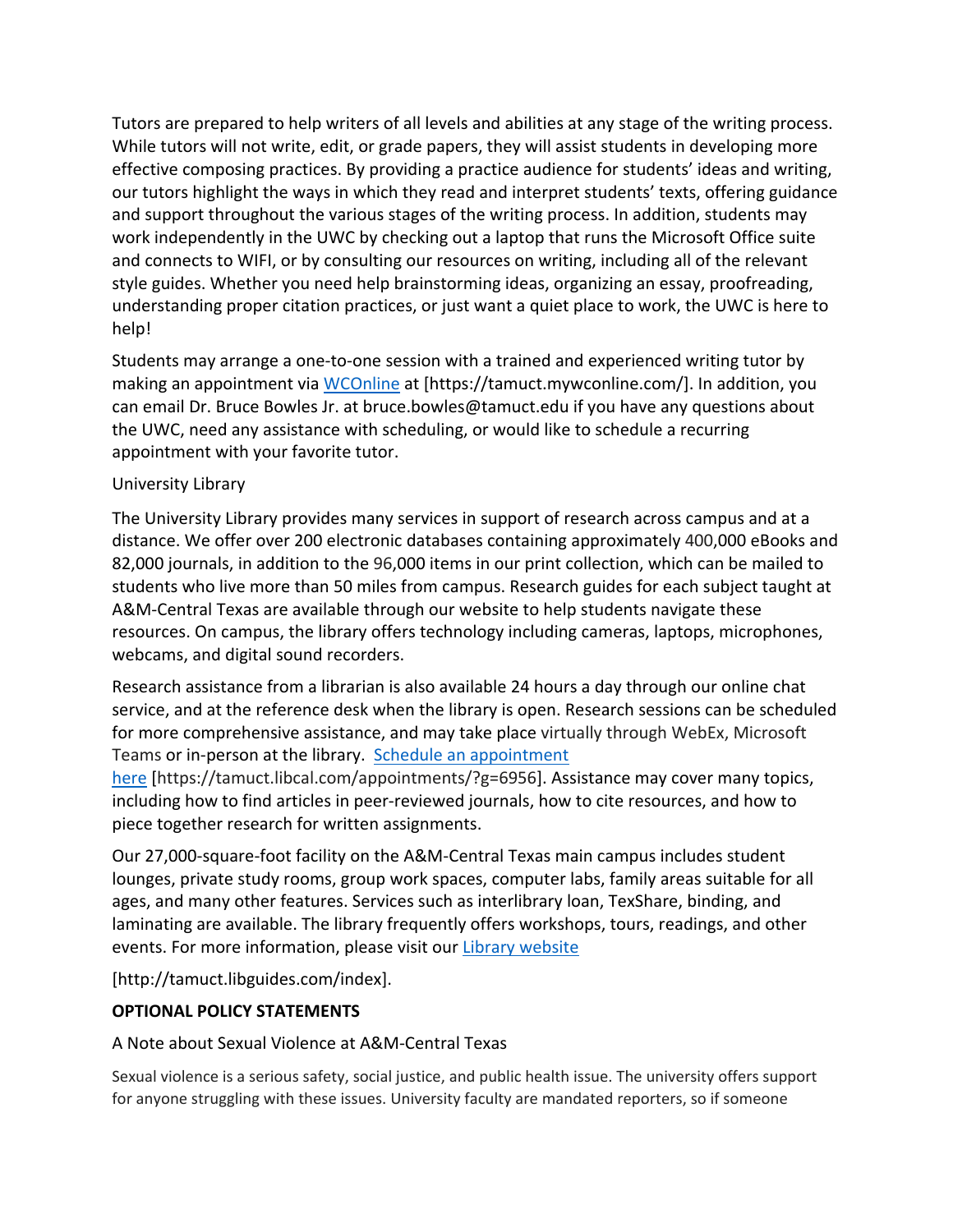Tutors are prepared to help writers of all levels and abilities at any stage of the writing process. While tutors will not write, edit, or grade papers, they will assist students in developing more effective composing practices. By providing a practice audience for students' ideas and writing, our tutors highlight the ways in which they read and interpret students' texts, offering guidance and support throughout the various stages of the writing process. In addition, students may work independently in the UWC by checking out a laptop that runs the Microsoft Office suite and connects to WIFI, or by consulting our resources on writing, including all of the relevant style guides. Whether you need help brainstorming ideas, organizing an essay, proofreading, understanding proper citation practices, or just want a quiet place to work, the UWC is here to help!

Students may arrange a one-to-one session with a trained and experienced writing tutor by making an appointment via [WCOnline](https://tamuct.mywconline.com/) at [https://tamuct.mywconline.com/]. In addition, you can email Dr. Bruce Bowles Jr. at bruce.bowles@tamuct.edu if you have any questions about the UWC, need any assistance with scheduling, or would like to schedule a recurring appointment with your favorite tutor.

# University Library

The University Library provides many services in support of research across campus and at a distance. We offer over 200 electronic databases containing approximately 400,000 eBooks and 82,000 journals, in addition to the 96,000 items in our print collection, which can be mailed to students who live more than 50 miles from campus. Research guides for each subject taught at A&M-Central Texas are available through our website to help students navigate these resources. On campus, the library offers technology including cameras, laptops, microphones, webcams, and digital sound recorders.

Research assistance from a librarian is also available 24 hours a day through our online chat service, and at the reference desk when the library is open. Research sessions can be scheduled for more comprehensive assistance, and may take place virtually through WebEx, Microsoft Teams or in-person at the library. Schedule an [appointment](https://nam04.safelinks.protection.outlook.com/?url=https%3A%2F%2Ftamuct.libcal.com%2Fappointments%2F%3Fg%3D6956&data=04%7C01%7Clisa.bunkowski%40tamuct.edu%7Cde2c07d9f5804f09518008d9ab7ba6ff%7C9eed4e3000f744849ff193ad8005acec%7C0%7C0%7C637729369835011558%7CUnknown%7CTWFpbGZsb3d8eyJWIjoiMC4wLjAwMDAiLCJQIjoiV2luMzIiLCJBTiI6Ik1haWwiLCJXVCI6Mn0%3D%7C3000&sdata=KhtjgRSAw9aq%2FoBsB6wyu8b7PSuGN5EGPypzr3Ty2No%3D&reserved=0)

[here](https://nam04.safelinks.protection.outlook.com/?url=https%3A%2F%2Ftamuct.libcal.com%2Fappointments%2F%3Fg%3D6956&data=04%7C01%7Clisa.bunkowski%40tamuct.edu%7Cde2c07d9f5804f09518008d9ab7ba6ff%7C9eed4e3000f744849ff193ad8005acec%7C0%7C0%7C637729369835011558%7CUnknown%7CTWFpbGZsb3d8eyJWIjoiMC4wLjAwMDAiLCJQIjoiV2luMzIiLCJBTiI6Ik1haWwiLCJXVCI6Mn0%3D%7C3000&sdata=KhtjgRSAw9aq%2FoBsB6wyu8b7PSuGN5EGPypzr3Ty2No%3D&reserved=0) [https://tamuct.libcal.com/appointments/?g=6956]. Assistance may cover many topics, including how to find articles in peer-reviewed journals, how to cite resources, and how to piece together research for written assignments.

Our 27,000-square-foot facility on the A&M-Central Texas main campus includes student lounges, private study rooms, group work spaces, computer labs, family areas suitable for all ages, and many other features. Services such as interlibrary loan, TexShare, binding, and laminating are available. The library frequently offers workshops, tours, readings, and other events. For more information, please visit our Library [website](https://nam04.safelinks.protection.outlook.com/?url=https%3A%2F%2Ftamuct.libguides.com%2Findex&data=04%7C01%7Clisa.bunkowski%40tamuct.edu%7C7d8489e8839a4915335f08d916f067f2%7C9eed4e3000f744849ff193ad8005acec%7C0%7C0%7C637566044056484222%7CUnknown%7CTWFpbGZsb3d8eyJWIjoiMC4wLjAwMDAiLCJQIjoiV2luMzIiLCJBTiI6Ik1haWwiLCJXVCI6Mn0%3D%7C1000&sdata=2R755V6rcIyedGrd4Os5rkgn1PvhHKU3kUV1vBKiHFo%3D&reserved=0)

[http://tamuct.libguides.com/index].

# **OPTIONAL POLICY STATEMENTS**

A Note about Sexual Violence at A&M-Central Texas

Sexual violence is a serious safety, social justice, and public health issue. The university offers support for anyone struggling with these issues. University faculty are mandated reporters, so if someone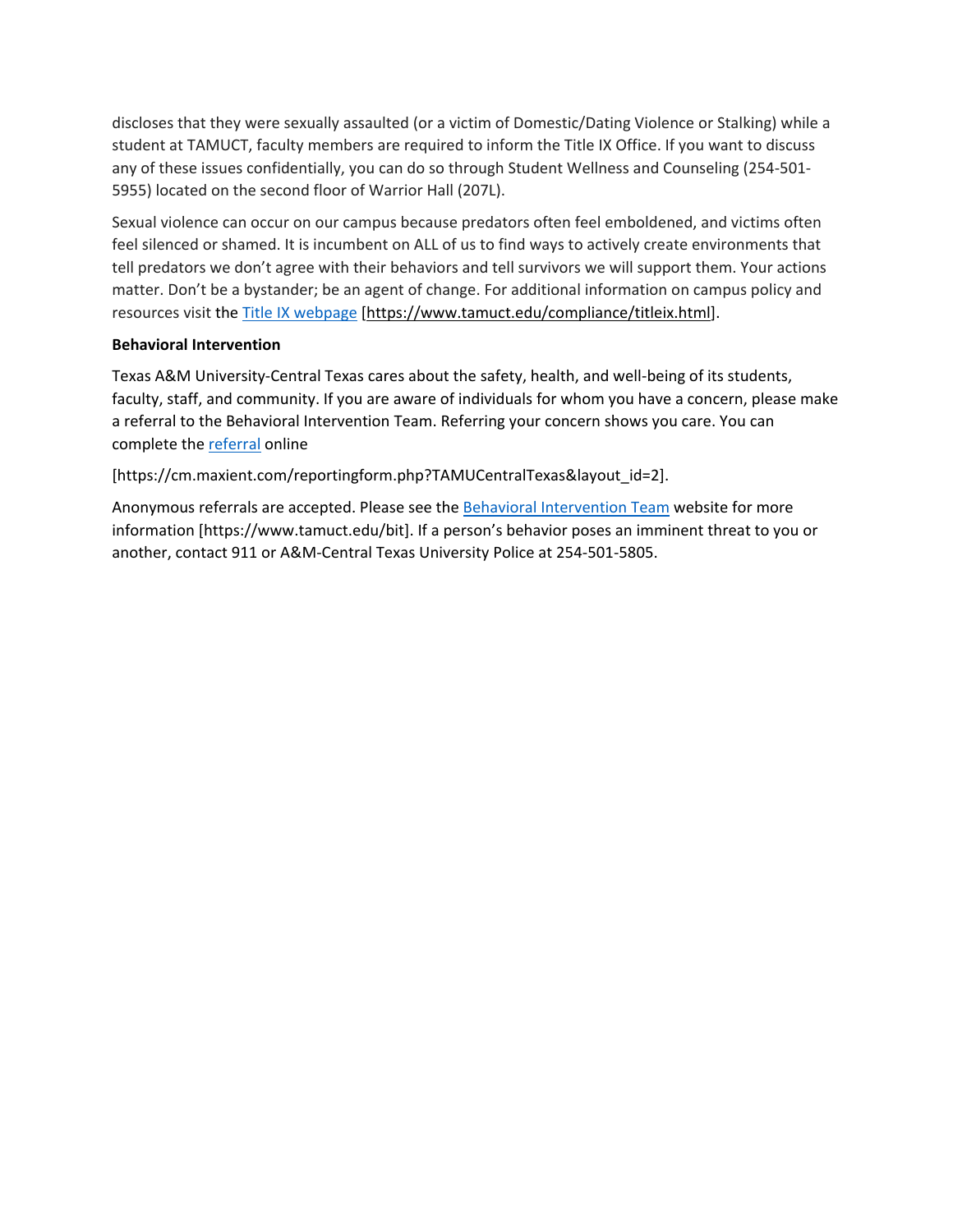discloses that they were sexually assaulted (or a victim of Domestic/Dating Violence or Stalking) while a student at TAMUCT, faculty members are required to inform the Title IX Office. If you want to discuss any of these issues confidentially, you can do so through Student Wellness and Counseling (254-501- 5955) located on the second floor of Warrior Hall (207L).

Sexual violence can occur on our campus because predators often feel emboldened, and victims often feel silenced or shamed. It is incumbent on ALL of us to find ways to actively create environments that tell predators we don't agree with their behaviors and tell survivors we will support them. Your actions matter. Don't be a bystander; be an agent of change. For additional information on campus policy and resources visit the [Title IX webpage](https://www.tamuct.edu/compliance/titleix.html) [\[https://www.tamuct.edu/compliance/titleix.html\]](https://www.tamuct.edu/compliance/titleix.html).

#### **Behavioral Intervention**

Texas A&M University-Central Texas cares about the safety, health, and well-being of its students, faculty, staff, and community. If you are aware of individuals for whom you have a concern, please make a referral to the Behavioral Intervention Team. Referring your concern shows you care. You can complete the [referral](https://cm.maxient.com/reportingform.php?TAMUCentralTexas&layout_id=2) online

[https://cm.maxient.com/reportingform.php?TAMUCentralTexas&layout\_id=2].

Anonymous referrals are accepted. Please see th[e Behavioral Intervention Team](https://www.tamuct.edu/bit) website for more information [https://www.tamuct.edu/bit]. If a person's behavior poses an imminent threat to you or another, contact 911 or A&M-Central Texas University Police at 254-501-5805.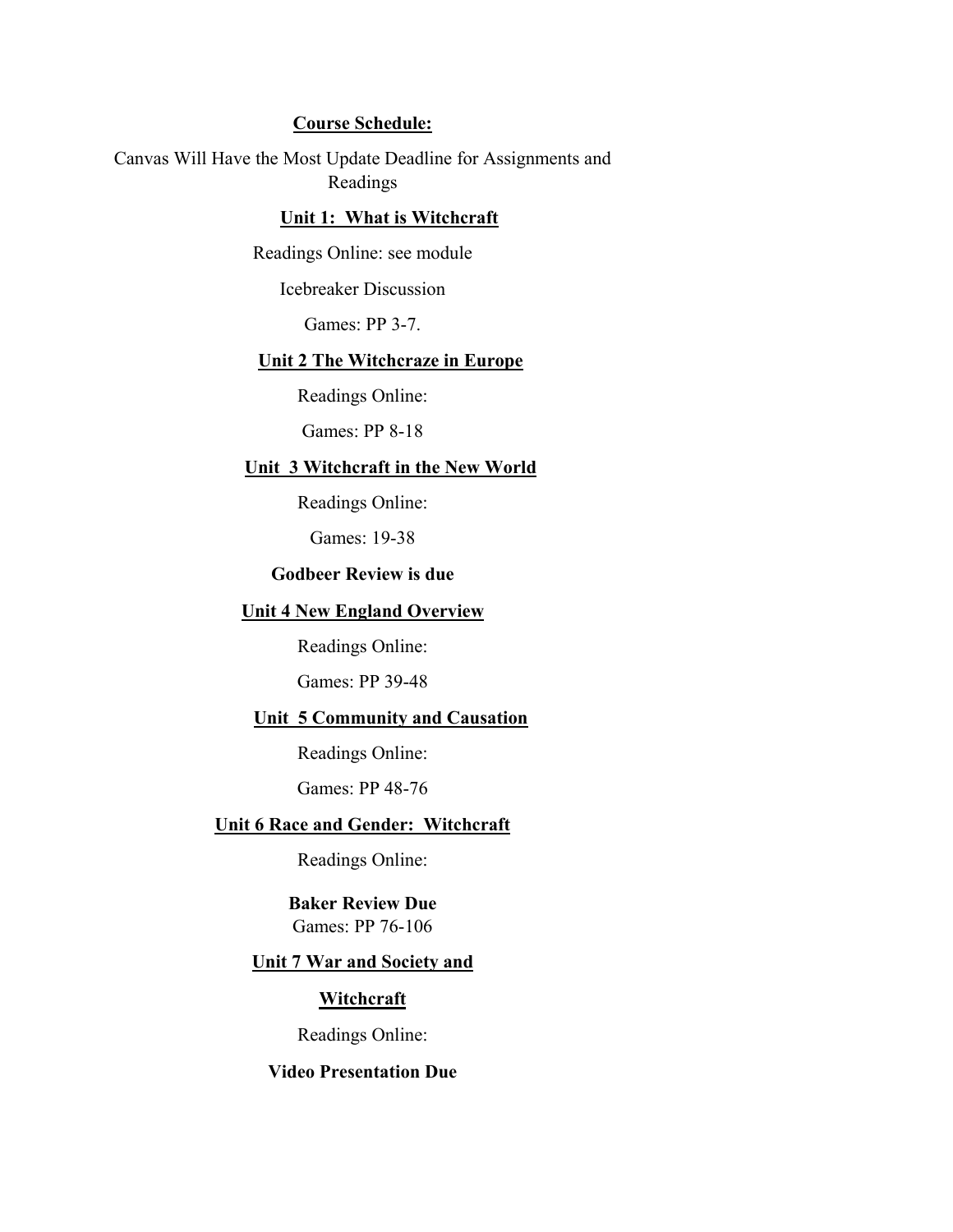### **Course Schedule:**

Canvas Will Have the Most Update Deadline for Assignments and Readings

# **Unit 1: What is Witchcraft**

Readings Online: see module

Icebreaker Discussion

Games: PP 3-7.

## **Unit 2 The Witchcraze in Europe**

Readings Online:

Games: PP 8-18

#### **Unit 3 Witchcraft in the New World**

Readings Online:

Games: 19-38

# **Godbeer Review is due**

### **Unit 4 New England Overview**

Readings Online:

Games: PP 39-48

# **Unit 5 Community and Causation**

Readings Online:

Games: PP 48-76

### **Unit 6 Race and Gender: Witchcraft**

Readings Online:

**Baker Review Due** Games: PP 76-106

#### **Unit 7 War and Society and**

### **Witchcraft**

Readings Online:

## **Video Presentation Due**